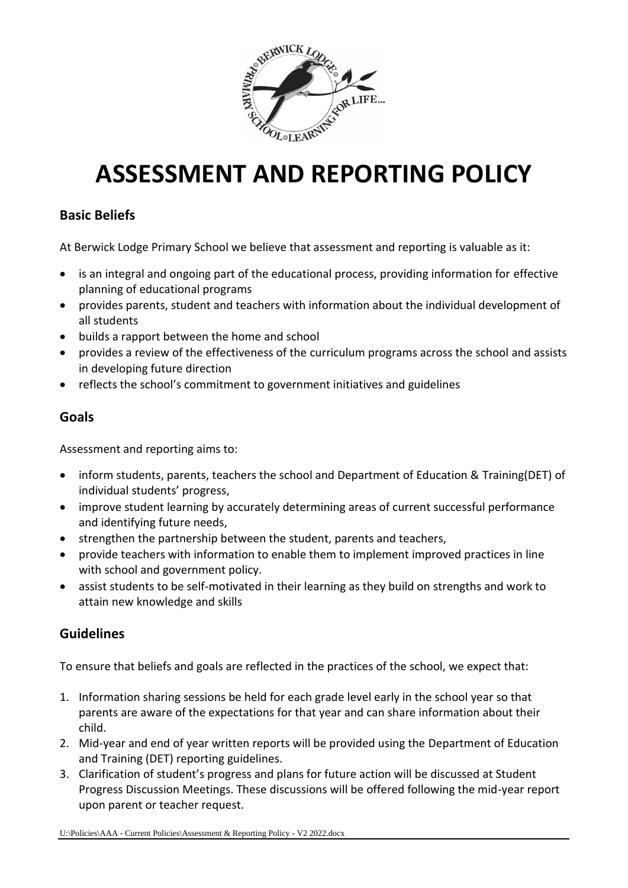

# **ASSESSMENT AND REPORTING POLICY**

# **Basic Beliefs**

At Berwick Lodge Primary School we believe that assessment and reporting is valuable as it:

- is an integral and ongoing part of the educational process, providing information for effective planning of educational programs
- provides parents, student and teachers with information about the individual development of all students
- builds a rapport between the home and school
- provides a review of the effectiveness of the curriculum programs across the school and assists in developing future direction
- reflects the school's commitment to government initiatives and guidelines

#### **Goals**

Assessment and reporting aims to:

- inform students, parents, teachers the school and Department of Education & Training(DET) of individual students' progress,
- improve student learning by accurately determining areas of current successful performance and identifying future needs,
- strengthen the partnership between the student, parents and teachers,
- provide teachers with information to enable them to implement improved practices in line with school and government policy.
- assist students to be self-motivated in their learning as they build on strengths and work to attain new knowledge and skills

# **Guidelines**

To ensure that beliefs and goals are reflected in the practices of the school, we expect that:

- 1. Information sharing sessions be held for each grade level early in the school year so that parents are aware of the expectations for that year and can share information about their child.
- 2. Mid-year and end of year written reports will be provided using the Department of Education and Training (DET) reporting guidelines.
- 3. Clarification of student's progress and plans for future action will be discussed at Student Progress Discussion Meetings. These discussions will be offered following the mid-year report upon parent or teacher request.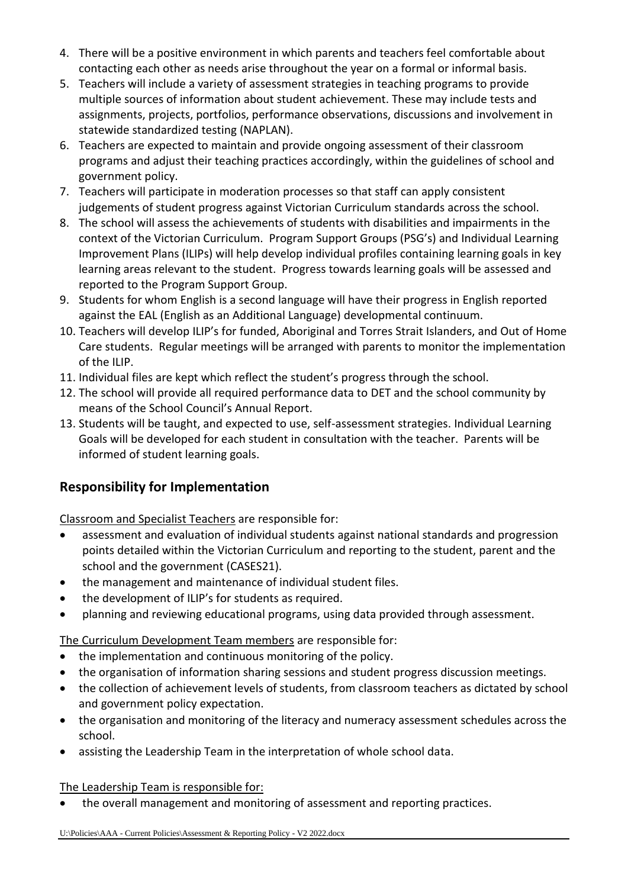- 4. There will be a positive environment in which parents and teachers feel comfortable about contacting each other as needs arise throughout the year on a formal or informal basis.
- 5. Teachers will include a variety of assessment strategies in teaching programs to provide multiple sources of information about student achievement. These may include tests and assignments, projects, portfolios, performance observations, discussions and involvement in statewide standardized testing (NAPLAN).
- 6. Teachers are expected to maintain and provide ongoing assessment of their classroom programs and adjust their teaching practices accordingly, within the guidelines of school and government policy.
- 7. Teachers will participate in moderation processes so that staff can apply consistent judgements of student progress against Victorian Curriculum standards across the school.
- 8. The school will assess the achievements of students with disabilities and impairments in the context of the Victorian Curriculum. Program Support Groups (PSG's) and Individual Learning Improvement Plans (ILIPs) will help develop individual profiles containing learning goals in key learning areas relevant to the student. Progress towards learning goals will be assessed and reported to the Program Support Group.
- 9. Students for whom English is a second language will have their progress in English reported against the EAL (English as an Additional Language) developmental continuum.
- 10. Teachers will develop ILIP's for funded, Aboriginal and Torres Strait Islanders, and Out of Home Care students. Regular meetings will be arranged with parents to monitor the implementation of the ILIP.
- 11. Individual files are kept which reflect the student's progress through the school.
- 12. The school will provide all required performance data to DET and the school community by means of the School Council's Annual Report.
- 13. Students will be taught, and expected to use, self-assessment strategies. Individual Learning Goals will be developed for each student in consultation with the teacher. Parents will be informed of student learning goals.

# **Responsibility for Implementation**

Classroom and Specialist Teachers are responsible for:

- assessment and evaluation of individual students against national standards and progression points detailed within the Victorian Curriculum and reporting to the student, parent and the school and the government (CASES21).
- the management and maintenance of individual student files.
- the development of ILIP's for students as required.
- planning and reviewing educational programs, using data provided through assessment.

The Curriculum Development Team members are responsible for:

- the implementation and continuous monitoring of the policy.
- the organisation of information sharing sessions and student progress discussion meetings.
- the collection of achievement levels of students, from classroom teachers as dictated by school and government policy expectation.
- the organisation and monitoring of the literacy and numeracy assessment schedules across the school.
- assisting the Leadership Team in the interpretation of whole school data.

The Leadership Team is responsible for:

• the overall management and monitoring of assessment and reporting practices.